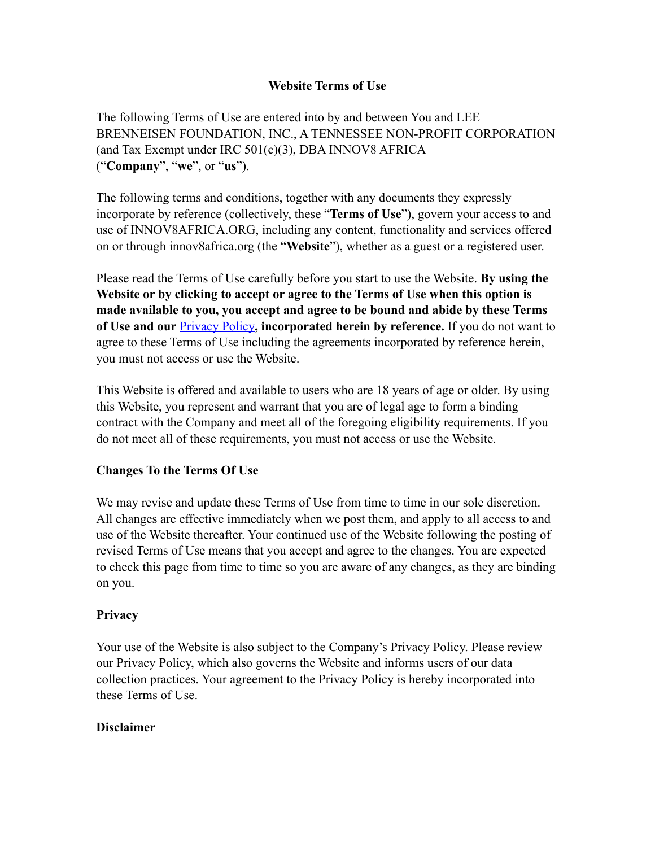#### **Website Terms of Use**

The following Terms of Use are entered into by and between You and LEE BRENNEISEN FOUNDATION, INC., A TENNESSEE NON-PROFIT CORPORATION (and Tax Exempt under IRC 501(c)(3), DBA INNOV8 AFRICA ("**Company**", "**we**", or "**us**").

The following terms and conditions, together with any documents they expressly incorporate by reference (collectively, these "**Terms of Use**"), govern your access to and use of INNOV8AFRICA.ORG, including any content, functionality and services offered on or through innov8africa.org (the "**Website**"), whether as a guest or a registered user.

Please read the Terms of Use carefully before you start to use the Website. **By using the Website or by clicking to accept or agree to the Terms of Use when this option is made available to you, you accept and agree to be bound and abide by these Terms of Use and our** [Privacy Policy](https://jamiegold.net/wp-content/uploads/2019/02/Website_Privacy_Policy_GDPR_Compliant-Jamie-Gold.pdf)**, incorporated herein by reference.** If you do not want to agree to these Terms of Use including the agreements incorporated by reference herein, you must not access or use the Website.

This Website is offered and available to users who are 18 years of age or older. By using this Website, you represent and warrant that you are of legal age to form a binding contract with the Company and meet all of the foregoing eligibility requirements. If you do not meet all of these requirements, you must not access or use the Website.

## **Changes To the Terms Of Use**

We may revise and update these Terms of Use from time to time in our sole discretion. All changes are effective immediately when we post them, and apply to all access to and use of the Website thereafter. Your continued use of the Website following the posting of revised Terms of Use means that you accept and agree to the changes. You are expected to check this page from time to time so you are aware of any changes, as they are binding on you.

## **Privacy**

Your use of the Website is also subject to the Company's Privacy Policy. Please review our Privacy Policy, which also governs the Website and informs users of our data collection practices. Your agreement to the Privacy Policy is hereby incorporated into these Terms of Use.

#### **Disclaimer**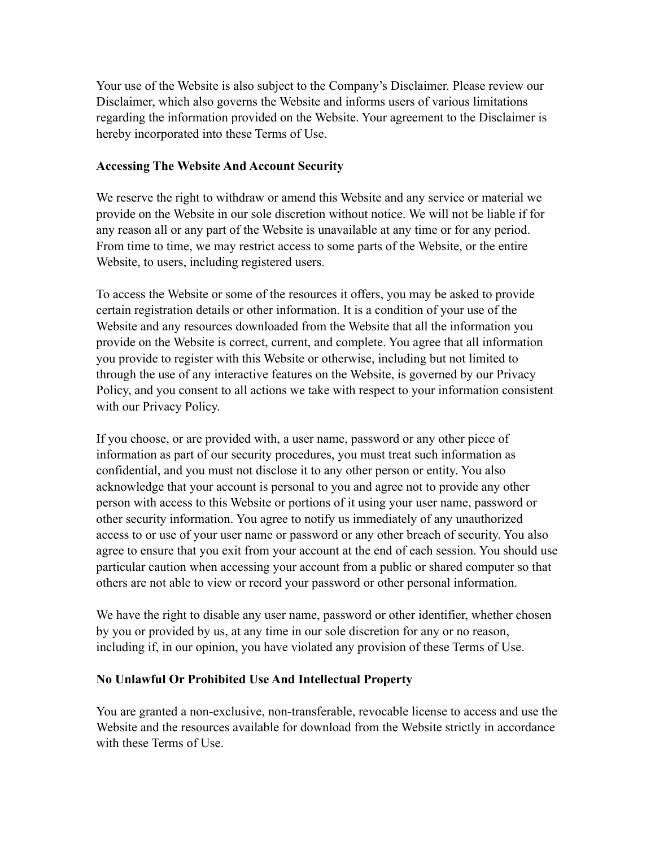Your use of the Website is also subject to the Company's Disclaimer. Please review our Disclaimer, which also governs the Website and informs users of various limitations regarding the information provided on the Website. Your agreement to the Disclaimer is hereby incorporated into these Terms of Use.

#### **Accessing The Website And Account Security**

We reserve the right to withdraw or amend this Website and any service or material we provide on the Website in our sole discretion without notice. We will not be liable if for any reason all or any part of the Website is unavailable at any time or for any period. From time to time, we may restrict access to some parts of the Website, or the entire Website, to users, including registered users.

To access the Website or some of the resources it offers, you may be asked to provide certain registration details or other information. It is a condition of your use of the Website and any resources downloaded from the Website that all the information you provide on the Website is correct, current, and complete. You agree that all information you provide to register with this Website or otherwise, including but not limited to through the use of any interactive features on the Website, is governed by our Privacy Policy, and you consent to all actions we take with respect to your information consistent with our Privacy Policy.

If you choose, or are provided with, a user name, password or any other piece of information as part of our security procedures, you must treat such information as confidential, and you must not disclose it to any other person or entity. You also acknowledge that your account is personal to you and agree not to provide any other person with access to this Website or portions of it using your user name, password or other security information. You agree to notify us immediately of any unauthorized access to or use of your user name or password or any other breach of security. You also agree to ensure that you exit from your account at the end of each session. You should use particular caution when accessing your account from a public or shared computer so that others are not able to view or record your password or other personal information.

We have the right to disable any user name, password or other identifier, whether chosen by you or provided by us, at any time in our sole discretion for any or no reason, including if, in our opinion, you have violated any provision of these Terms of Use.

## **No Unlawful Or Prohibited Use And Intellectual Property**

You are granted a non-exclusive, non-transferable, revocable license to access and use the Website and the resources available for download from the Website strictly in accordance with these Terms of Use.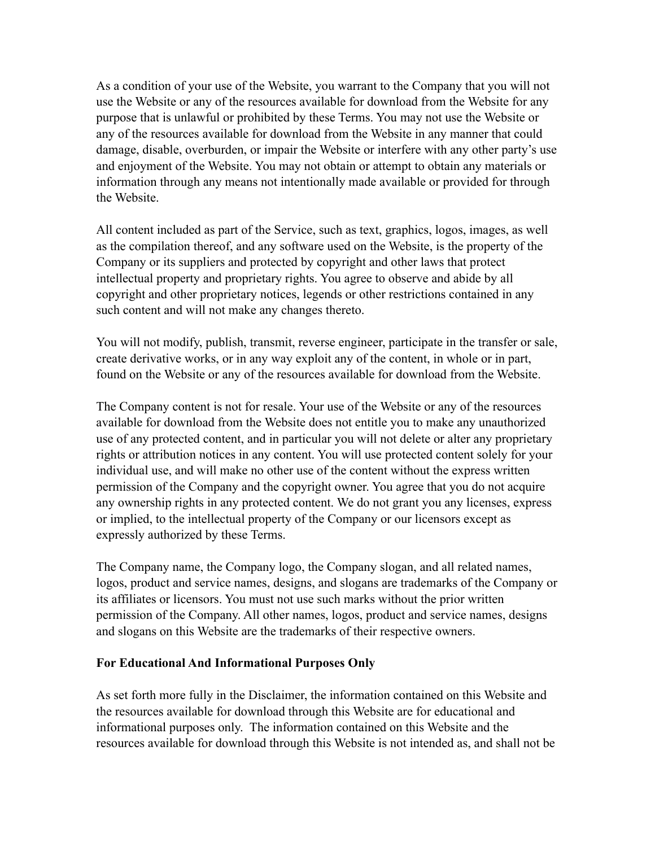As a condition of your use of the Website, you warrant to the Company that you will not use the Website or any of the resources available for download from the Website for any purpose that is unlawful or prohibited by these Terms. You may not use the Website or any of the resources available for download from the Website in any manner that could damage, disable, overburden, or impair the Website or interfere with any other party's use and enjoyment of the Website. You may not obtain or attempt to obtain any materials or information through any means not intentionally made available or provided for through the Website.

All content included as part of the Service, such as text, graphics, logos, images, as well as the compilation thereof, and any software used on the Website, is the property of the Company or its suppliers and protected by copyright and other laws that protect intellectual property and proprietary rights. You agree to observe and abide by all copyright and other proprietary notices, legends or other restrictions contained in any such content and will not make any changes thereto.

You will not modify, publish, transmit, reverse engineer, participate in the transfer or sale, create derivative works, or in any way exploit any of the content, in whole or in part, found on the Website or any of the resources available for download from the Website.

The Company content is not for resale. Your use of the Website or any of the resources available for download from the Website does not entitle you to make any unauthorized use of any protected content, and in particular you will not delete or alter any proprietary rights or attribution notices in any content. You will use protected content solely for your individual use, and will make no other use of the content without the express written permission of the Company and the copyright owner. You agree that you do not acquire any ownership rights in any protected content. We do not grant you any licenses, express or implied, to the intellectual property of the Company or our licensors except as expressly authorized by these Terms.

The Company name, the Company logo, the Company slogan, and all related names, logos, product and service names, designs, and slogans are trademarks of the Company or its affiliates or licensors. You must not use such marks without the prior written permission of the Company. All other names, logos, product and service names, designs and slogans on this Website are the trademarks of their respective owners.

#### **For Educational And Informational Purposes Only**

As set forth more fully in the Disclaimer, the information contained on this Website and the resources available for download through this Website are for educational and informational purposes only. The information contained on this Website and the resources available for download through this Website is not intended as, and shall not be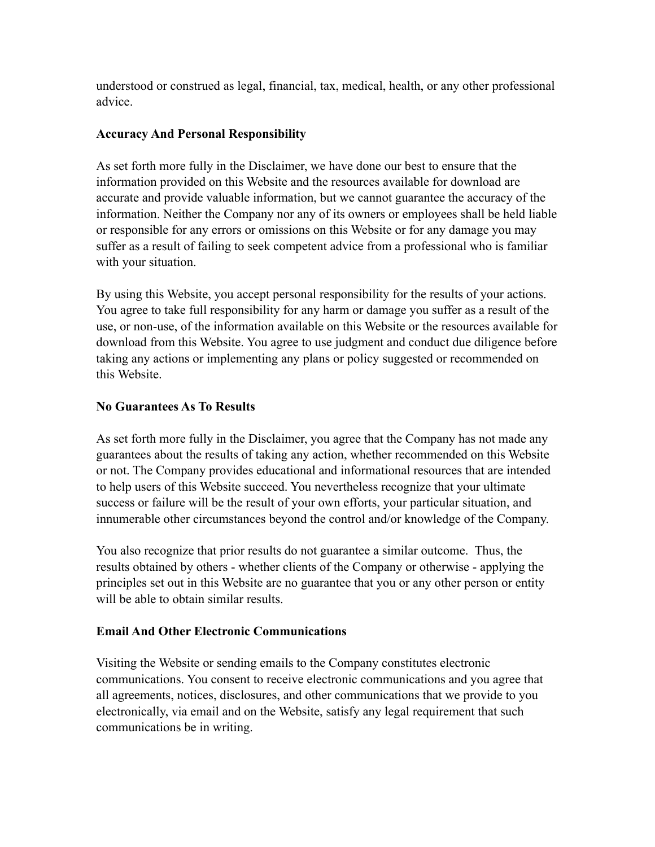understood or construed as legal, financial, tax, medical, health, or any other professional advice.

# **Accuracy And Personal Responsibility**

As set forth more fully in the Disclaimer, we have done our best to ensure that the information provided on this Website and the resources available for download are accurate and provide valuable information, but we cannot guarantee the accuracy of the information. Neither the Company nor any of its owners or employees shall be held liable or responsible for any errors or omissions on this Website or for any damage you may suffer as a result of failing to seek competent advice from a professional who is familiar with your situation.

By using this Website, you accept personal responsibility for the results of your actions. You agree to take full responsibility for any harm or damage you suffer as a result of the use, or non-use, of the information available on this Website or the resources available for download from this Website. You agree to use judgment and conduct due diligence before taking any actions or implementing any plans or policy suggested or recommended on this Website.

# **No Guarantees As To Results**

As set forth more fully in the Disclaimer, you agree that the Company has not made any guarantees about the results of taking any action, whether recommended on this Website or not. The Company provides educational and informational resources that are intended to help users of this Website succeed. You nevertheless recognize that your ultimate success or failure will be the result of your own efforts, your particular situation, and innumerable other circumstances beyond the control and/or knowledge of the Company.

You also recognize that prior results do not guarantee a similar outcome. Thus, the results obtained by others - whether clients of the Company or otherwise - applying the principles set out in this Website are no guarantee that you or any other person or entity will be able to obtain similar results.

## **Email And Other Electronic Communications**

Visiting the Website or sending emails to the Company constitutes electronic communications. You consent to receive electronic communications and you agree that all agreements, notices, disclosures, and other communications that we provide to you electronically, via email and on the Website, satisfy any legal requirement that such communications be in writing.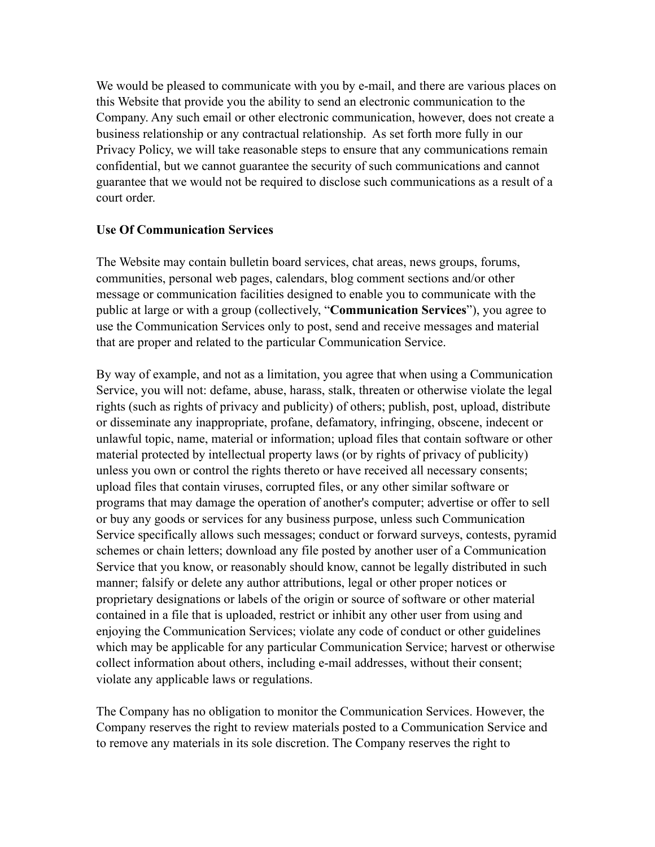We would be pleased to communicate with you by e-mail, and there are various places on this Website that provide you the ability to send an electronic communication to the Company. Any such email or other electronic communication, however, does not create a business relationship or any contractual relationship. As set forth more fully in our Privacy Policy, we will take reasonable steps to ensure that any communications remain confidential, but we cannot guarantee the security of such communications and cannot guarantee that we would not be required to disclose such communications as a result of a court order.

#### **Use Of Communication Services**

The Website may contain bulletin board services, chat areas, news groups, forums, communities, personal web pages, calendars, blog comment sections and/or other message or communication facilities designed to enable you to communicate with the public at large or with a group (collectively, "**Communication Services**"), you agree to use the Communication Services only to post, send and receive messages and material that are proper and related to the particular Communication Service.

By way of example, and not as a limitation, you agree that when using a Communication Service, you will not: defame, abuse, harass, stalk, threaten or otherwise violate the legal rights (such as rights of privacy and publicity) of others; publish, post, upload, distribute or disseminate any inappropriate, profane, defamatory, infringing, obscene, indecent or unlawful topic, name, material or information; upload files that contain software or other material protected by intellectual property laws (or by rights of privacy of publicity) unless you own or control the rights thereto or have received all necessary consents; upload files that contain viruses, corrupted files, or any other similar software or programs that may damage the operation of another's computer; advertise or offer to sell or buy any goods or services for any business purpose, unless such Communication Service specifically allows such messages; conduct or forward surveys, contests, pyramid schemes or chain letters; download any file posted by another user of a Communication Service that you know, or reasonably should know, cannot be legally distributed in such manner; falsify or delete any author attributions, legal or other proper notices or proprietary designations or labels of the origin or source of software or other material contained in a file that is uploaded, restrict or inhibit any other user from using and enjoying the Communication Services; violate any code of conduct or other guidelines which may be applicable for any particular Communication Service; harvest or otherwise collect information about others, including e-mail addresses, without their consent; violate any applicable laws or regulations.

The Company has no obligation to monitor the Communication Services. However, the Company reserves the right to review materials posted to a Communication Service and to remove any materials in its sole discretion. The Company reserves the right to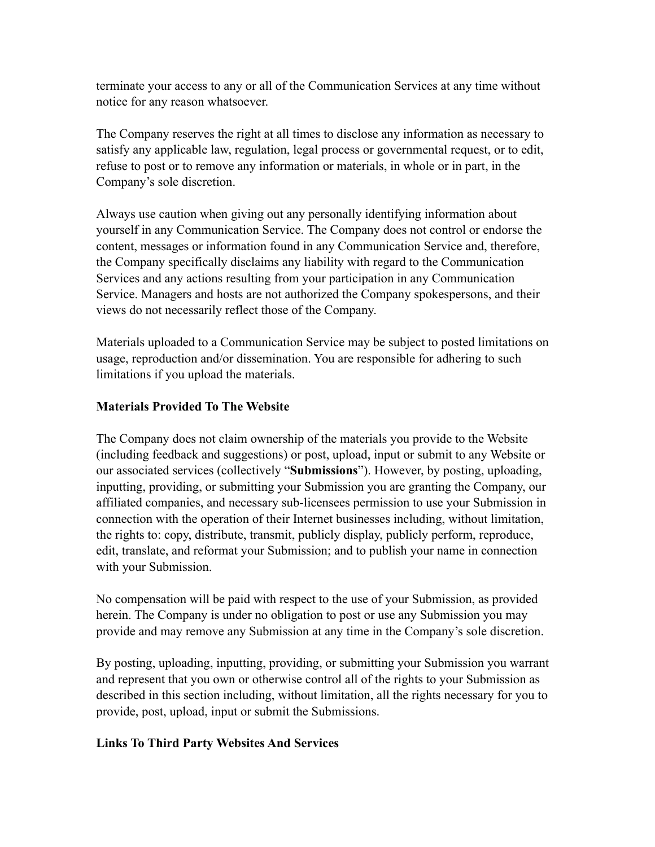terminate your access to any or all of the Communication Services at any time without notice for any reason whatsoever.

The Company reserves the right at all times to disclose any information as necessary to satisfy any applicable law, regulation, legal process or governmental request, or to edit, refuse to post or to remove any information or materials, in whole or in part, in the Company's sole discretion.

Always use caution when giving out any personally identifying information about yourself in any Communication Service. The Company does not control or endorse the content, messages or information found in any Communication Service and, therefore, the Company specifically disclaims any liability with regard to the Communication Services and any actions resulting from your participation in any Communication Service. Managers and hosts are not authorized the Company spokespersons, and their views do not necessarily reflect those of the Company.

Materials uploaded to a Communication Service may be subject to posted limitations on usage, reproduction and/or dissemination. You are responsible for adhering to such limitations if you upload the materials.

## **Materials Provided To The Website**

The Company does not claim ownership of the materials you provide to the Website (including feedback and suggestions) or post, upload, input or submit to any Website or our associated services (collectively "**Submissions**"). However, by posting, uploading, inputting, providing, or submitting your Submission you are granting the Company, our affiliated companies, and necessary sub-licensees permission to use your Submission in connection with the operation of their Internet businesses including, without limitation, the rights to: copy, distribute, transmit, publicly display, publicly perform, reproduce, edit, translate, and reformat your Submission; and to publish your name in connection with your Submission.

No compensation will be paid with respect to the use of your Submission, as provided herein. The Company is under no obligation to post or use any Submission you may provide and may remove any Submission at any time in the Company's sole discretion.

By posting, uploading, inputting, providing, or submitting your Submission you warrant and represent that you own or otherwise control all of the rights to your Submission as described in this section including, without limitation, all the rights necessary for you to provide, post, upload, input or submit the Submissions.

## **Links To Third Party Websites And Services**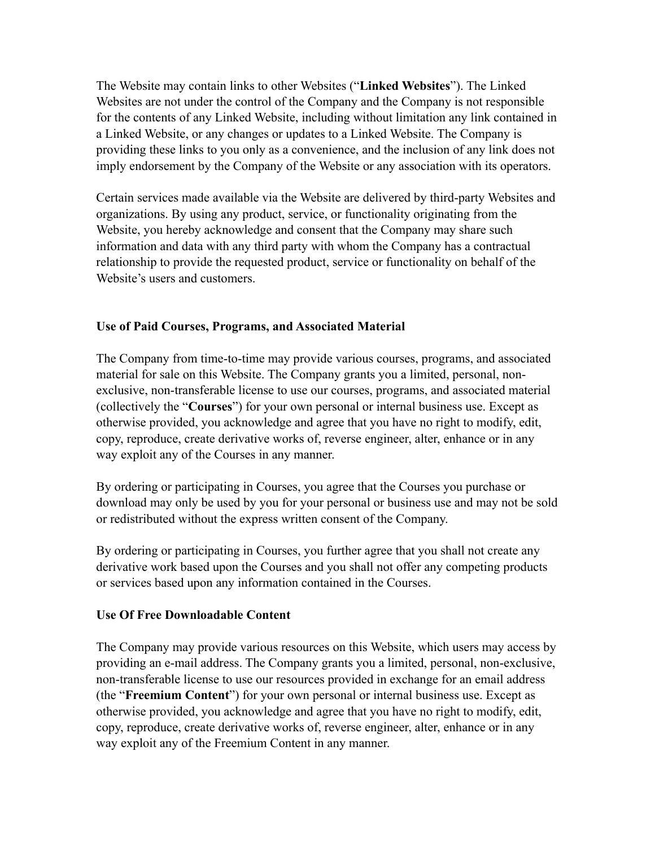The Website may contain links to other Websites ("**Linked Websites**"). The Linked Websites are not under the control of the Company and the Company is not responsible for the contents of any Linked Website, including without limitation any link contained in a Linked Website, or any changes or updates to a Linked Website. The Company is providing these links to you only as a convenience, and the inclusion of any link does not imply endorsement by the Company of the Website or any association with its operators.

Certain services made available via the Website are delivered by third-party Websites and organizations. By using any product, service, or functionality originating from the Website, you hereby acknowledge and consent that the Company may share such information and data with any third party with whom the Company has a contractual relationship to provide the requested product, service or functionality on behalf of the Website's users and customers.

## **Use of Paid Courses, Programs, and Associated Material**

The Company from time-to-time may provide various courses, programs, and associated material for sale on this Website. The Company grants you a limited, personal, nonexclusive, non-transferable license to use our courses, programs, and associated material (collectively the "**Courses**") for your own personal or internal business use. Except as otherwise provided, you acknowledge and agree that you have no right to modify, edit, copy, reproduce, create derivative works of, reverse engineer, alter, enhance or in any way exploit any of the Courses in any manner.

By ordering or participating in Courses, you agree that the Courses you purchase or download may only be used by you for your personal or business use and may not be sold or redistributed without the express written consent of the Company.

By ordering or participating in Courses, you further agree that you shall not create any derivative work based upon the Courses and you shall not offer any competing products or services based upon any information contained in the Courses.

## **Use Of Free Downloadable Content**

The Company may provide various resources on this Website, which users may access by providing an e-mail address. The Company grants you a limited, personal, non-exclusive, non-transferable license to use our resources provided in exchange for an email address (the "**Freemium Content**") for your own personal or internal business use. Except as otherwise provided, you acknowledge and agree that you have no right to modify, edit, copy, reproduce, create derivative works of, reverse engineer, alter, enhance or in any way exploit any of the Freemium Content in any manner.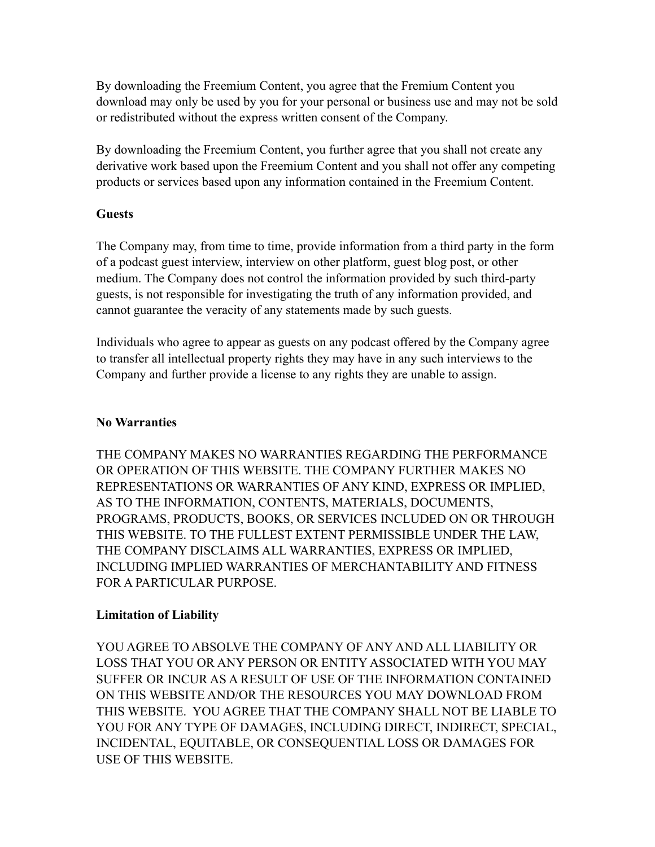By downloading the Freemium Content, you agree that the Fremium Content you download may only be used by you for your personal or business use and may not be sold or redistributed without the express written consent of the Company.

By downloading the Freemium Content, you further agree that you shall not create any derivative work based upon the Freemium Content and you shall not offer any competing products or services based upon any information contained in the Freemium Content.

#### **Guests**

The Company may, from time to time, provide information from a third party in the form of a podcast guest interview, interview on other platform, guest blog post, or other medium. The Company does not control the information provided by such third-party guests, is not responsible for investigating the truth of any information provided, and cannot guarantee the veracity of any statements made by such guests.

Individuals who agree to appear as guests on any podcast offered by the Company agree to transfer all intellectual property rights they may have in any such interviews to the Company and further provide a license to any rights they are unable to assign.

#### **No Warranties**

THE COMPANY MAKES NO WARRANTIES REGARDING THE PERFORMANCE OR OPERATION OF THIS WEBSITE. THE COMPANY FURTHER MAKES NO REPRESENTATIONS OR WARRANTIES OF ANY KIND, EXPRESS OR IMPLIED, AS TO THE INFORMATION, CONTENTS, MATERIALS, DOCUMENTS, PROGRAMS, PRODUCTS, BOOKS, OR SERVICES INCLUDED ON OR THROUGH THIS WEBSITE. TO THE FULLEST EXTENT PERMISSIBLE UNDER THE LAW, THE COMPANY DISCLAIMS ALL WARRANTIES, EXPRESS OR IMPLIED, INCLUDING IMPLIED WARRANTIES OF MERCHANTABILITY AND FITNESS FOR A PARTICULAR PURPOSE.

## **Limitation of Liability**

YOU AGREE TO ABSOLVE THE COMPANY OF ANY AND ALL LIABILITY OR LOSS THAT YOU OR ANY PERSON OR ENTITY ASSOCIATED WITH YOU MAY SUFFER OR INCUR AS A RESULT OF USE OF THE INFORMATION CONTAINED ON THIS WEBSITE AND/OR THE RESOURCES YOU MAY DOWNLOAD FROM THIS WEBSITE. YOU AGREE THAT THE COMPANY SHALL NOT BE LIABLE TO YOU FOR ANY TYPE OF DAMAGES, INCLUDING DIRECT, INDIRECT, SPECIAL, INCIDENTAL, EQUITABLE, OR CONSEQUENTIAL LOSS OR DAMAGES FOR USE OF THIS WEBSITE.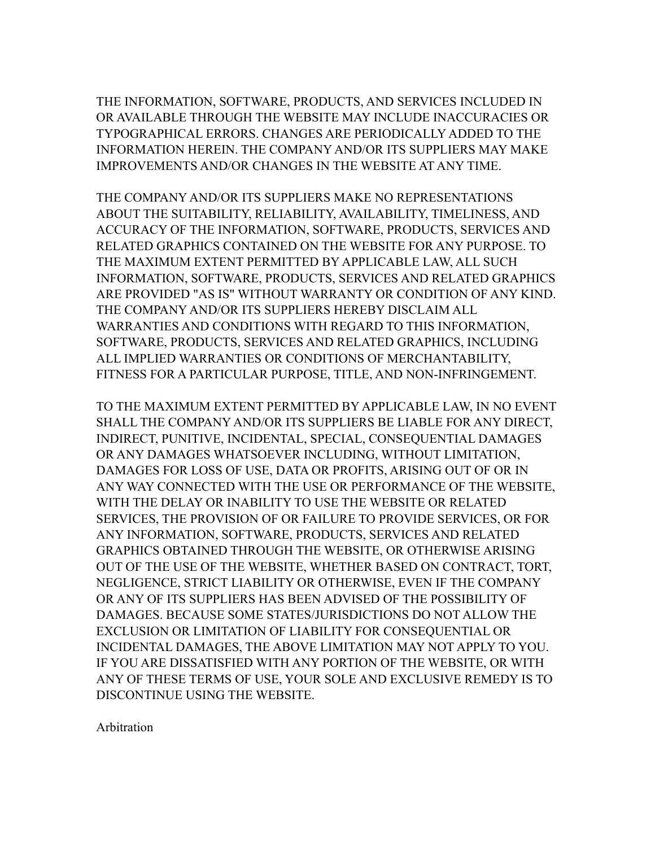THE INFORMATION, SOFTWARE, PRODUCTS, AND SERVICES INCLUDED IN OR AVAILABLE THROUGH THE WEBSITE MAY INCLUDE INACCURACIES OR TYPOGRAPHICAL ERRORS. CHANGES ARE PERIODICALLY ADDED TO THE INFORMATION HEREIN. THE COMPANY AND/OR ITS SUPPLIERS MAY MAKE IMPROVEMENTS AND/OR CHANGES IN THE WEBSITE AT ANY TIME.

THE COMPANY AND/OR ITS SUPPLIERS MAKE NO REPRESENTATIONS ABOUT THE SUITABILITY, RELIABILITY, AVAILABILITY, TIMELINESS, AND ACCURACY OF THE INFORMATION, SOFTWARE, PRODUCTS, SERVICES AND RELATED GRAPHICS CONTAINED ON THE WEBSITE FOR ANY PURPOSE. TO THE MAXIMUM EXTENT PERMITTED BY APPLICABLE LAW, ALL SUCH INFORMATION, SOFTWARE, PRODUCTS, SERVICES AND RELATED GRAPHICS ARE PROVIDED "AS IS" WITHOUT WARRANTY OR CONDITION OF ANY KIND. THE COMPANY AND/OR ITS SUPPLIERS HEREBY DISCLAIM ALL WARRANTIES AND CONDITIONS WITH REGARD TO THIS INFORMATION, SOFTWARE, PRODUCTS, SERVICES AND RELATED GRAPHICS, INCLUDING ALL IMPLIED WARRANTIES OR CONDITIONS OF MERCHANTABILITY, FITNESS FOR A PARTICULAR PURPOSE, TITLE, AND NON-INFRINGEMENT.

TO THE MAXIMUM EXTENT PERMITTED BY APPLICABLE LAW, IN NO EVENT SHALL THE COMPANY AND/OR ITS SUPPLIERS BE LIABLE FOR ANY DIRECT, INDIRECT, PUNITIVE, INCIDENTAL, SPECIAL, CONSEQUENTIAL DAMAGES OR ANY DAMAGES WHATSOEVER INCLUDING, WITHOUT LIMITATION, DAMAGES FOR LOSS OF USE, DATA OR PROFITS, ARISING OUT OF OR IN ANY WAY CONNECTED WITH THE USE OR PERFORMANCE OF THE WEBSITE, WITH THE DELAY OR INABILITY TO USE THE WEBSITE OR RELATED SERVICES, THE PROVISION OF OR FAILURE TO PROVIDE SERVICES, OR FOR ANY INFORMATION, SOFTWARE, PRODUCTS, SERVICES AND RELATED GRAPHICS OBTAINED THROUGH THE WEBSITE, OR OTHERWISE ARISING OUT OF THE USE OF THE WEBSITE, WHETHER BASED ON CONTRACT, TORT, NEGLIGENCE, STRICT LIABILITY OR OTHERWISE, EVEN IF THE COMPANY OR ANY OF ITS SUPPLIERS HAS BEEN ADVISED OF THE POSSIBILITY OF DAMAGES. BECAUSE SOME STATES/JURISDICTIONS DO NOT ALLOW THE EXCLUSION OR LIMITATION OF LIABILITY FOR CONSEQUENTIAL OR INCIDENTAL DAMAGES, THE ABOVE LIMITATION MAY NOT APPLY TO YOU. IF YOU ARE DISSATISFIED WITH ANY PORTION OF THE WEBSITE, OR WITH ANY OF THESE TERMS OF USE, YOUR SOLE AND EXCLUSIVE REMEDY IS TO DISCONTINUE USING THE WEBSITE.

Arbitration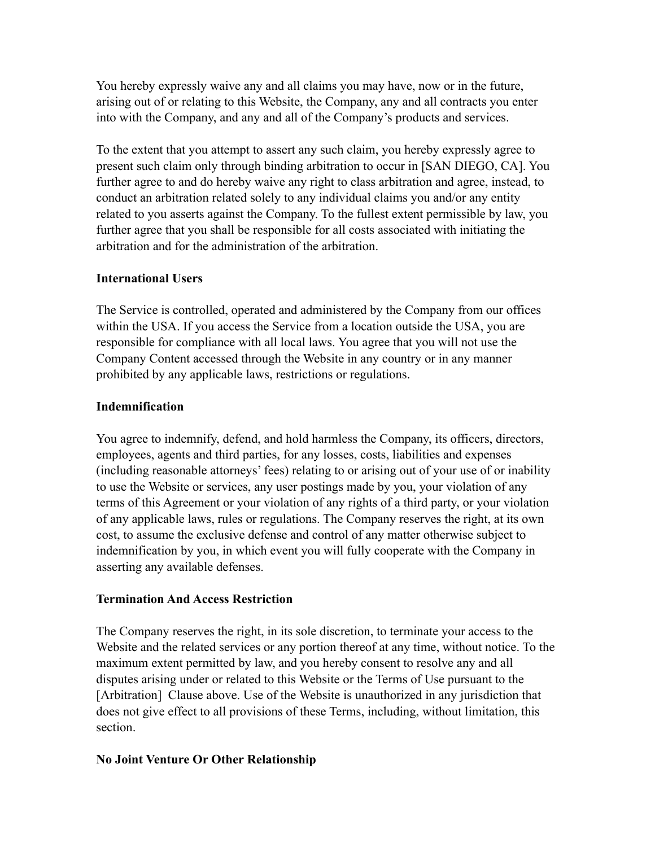You hereby expressly waive any and all claims you may have, now or in the future, arising out of or relating to this Website, the Company, any and all contracts you enter into with the Company, and any and all of the Company's products and services.

To the extent that you attempt to assert any such claim, you hereby expressly agree to present such claim only through binding arbitration to occur in [SAN DIEGO, CA]. You further agree to and do hereby waive any right to class arbitration and agree, instead, to conduct an arbitration related solely to any individual claims you and/or any entity related to you asserts against the Company. To the fullest extent permissible by law, you further agree that you shall be responsible for all costs associated with initiating the arbitration and for the administration of the arbitration.

# **International Users**

The Service is controlled, operated and administered by the Company from our offices within the USA. If you access the Service from a location outside the USA, you are responsible for compliance with all local laws. You agree that you will not use the Company Content accessed through the Website in any country or in any manner prohibited by any applicable laws, restrictions or regulations.

# **Indemnification**

You agree to indemnify, defend, and hold harmless the Company, its officers, directors, employees, agents and third parties, for any losses, costs, liabilities and expenses (including reasonable attorneys' fees) relating to or arising out of your use of or inability to use the Website or services, any user postings made by you, your violation of any terms of this Agreement or your violation of any rights of a third party, or your violation of any applicable laws, rules or regulations. The Company reserves the right, at its own cost, to assume the exclusive defense and control of any matter otherwise subject to indemnification by you, in which event you will fully cooperate with the Company in asserting any available defenses.

## **Termination And Access Restriction**

The Company reserves the right, in its sole discretion, to terminate your access to the Website and the related services or any portion thereof at any time, without notice. To the maximum extent permitted by law, and you hereby consent to resolve any and all disputes arising under or related to this Website or the Terms of Use pursuant to the [Arbitration] Clause above. Use of the Website is unauthorized in any jurisdiction that does not give effect to all provisions of these Terms, including, without limitation, this section.

# **No Joint Venture Or Other Relationship**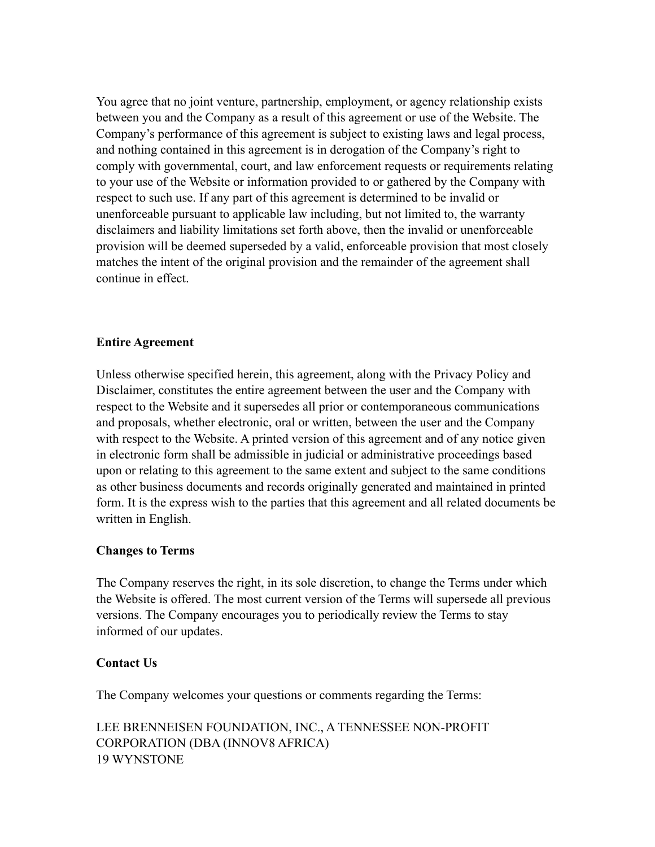You agree that no joint venture, partnership, employment, or agency relationship exists between you and the Company as a result of this agreement or use of the Website. The Company's performance of this agreement is subject to existing laws and legal process, and nothing contained in this agreement is in derogation of the Company's right to comply with governmental, court, and law enforcement requests or requirements relating to your use of the Website or information provided to or gathered by the Company with respect to such use. If any part of this agreement is determined to be invalid or unenforceable pursuant to applicable law including, but not limited to, the warranty disclaimers and liability limitations set forth above, then the invalid or unenforceable provision will be deemed superseded by a valid, enforceable provision that most closely matches the intent of the original provision and the remainder of the agreement shall continue in effect.

#### **Entire Agreement**

Unless otherwise specified herein, this agreement, along with the Privacy Policy and Disclaimer, constitutes the entire agreement between the user and the Company with respect to the Website and it supersedes all prior or contemporaneous communications and proposals, whether electronic, oral or written, between the user and the Company with respect to the Website. A printed version of this agreement and of any notice given in electronic form shall be admissible in judicial or administrative proceedings based upon or relating to this agreement to the same extent and subject to the same conditions as other business documents and records originally generated and maintained in printed form. It is the express wish to the parties that this agreement and all related documents be written in English.

#### **Changes to Terms**

The Company reserves the right, in its sole discretion, to change the Terms under which the Website is offered. The most current version of the Terms will supersede all previous versions. The Company encourages you to periodically review the Terms to stay informed of our updates.

## **Contact Us**

The Company welcomes your questions or comments regarding the Terms:

LEE BRENNEISEN FOUNDATION, INC., A TENNESSEE NON-PROFIT CORPORATION (DBA (INNOV8 AFRICA) 19 WYNSTONE